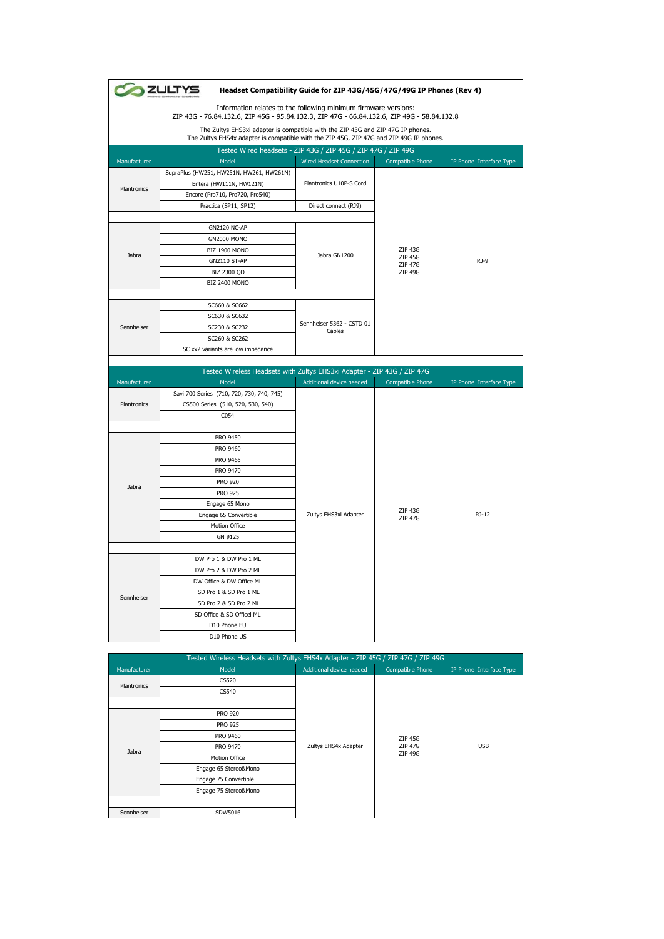|              | <b>2ULTYS</b>                                                                                                                                                              | Headset Compatibility Guide for ZIP 43G/45G/47G/49G IP Phones (Rev 4)<br>Information relates to the following minimum firmware versions: |                           |                         |
|--------------|----------------------------------------------------------------------------------------------------------------------------------------------------------------------------|------------------------------------------------------------------------------------------------------------------------------------------|---------------------------|-------------------------|
|              | ZIP 43G - 76.84.132.6, ZIP 45G - 95.84.132.3, ZIP 47G - 66.84.132.6, ZIP 49G - 58.84.132.8                                                                                 |                                                                                                                                          |                           |                         |
|              | The Zultys EHS3xi adapter is compatible with the ZIP 43G and ZIP 47G IP phones.<br>The Zultys EHS4x adapter is compatible with the ZIP 45G, ZIP 47G and ZIP 49G IP phones. |                                                                                                                                          |                           |                         |
|              |                                                                                                                                                                            | Tested Wired headsets - ZIP 43G / ZIP 45G / ZIP 47G / ZIP 49G                                                                            |                           |                         |
| Manufacturer | Model                                                                                                                                                                      | Wired Headset Connection                                                                                                                 | Compatible Phone          | IP Phone Interface Type |
|              | SupraPlus (HW251, HW251N, HW261, HW261N)                                                                                                                                   |                                                                                                                                          |                           |                         |
|              | Entera (HW111N, HW121N)                                                                                                                                                    | Plantronics U10P-S Cord                                                                                                                  |                           |                         |
| Plantronics  | Encore (Pro710, Pro720, Pro540)                                                                                                                                            |                                                                                                                                          |                           |                         |
|              | Practica (SP11, SP12)                                                                                                                                                      | Direct connect (RJ9)                                                                                                                     |                           |                         |
|              | <b>GN2120 NC-AP</b>                                                                                                                                                        |                                                                                                                                          |                           |                         |
|              | <b>GN2000 MONO</b>                                                                                                                                                         |                                                                                                                                          |                           |                         |
|              | BIZ 1900 MONO                                                                                                                                                              |                                                                                                                                          | <b>ZIP 43G</b>            |                         |
| Jabra        | GN2110 ST-AP                                                                                                                                                               | Jabra GN1200                                                                                                                             | ZIP 45G                   | $RJ-9$                  |
|              | BIZ 2300 QD                                                                                                                                                                |                                                                                                                                          | ZIP 47G<br>ZIP 49G        |                         |
|              | <b>BIZ 2400 MONO</b>                                                                                                                                                       |                                                                                                                                          |                           |                         |
|              |                                                                                                                                                                            |                                                                                                                                          |                           |                         |
|              | SC660 & SC662                                                                                                                                                              | Sennheiser 5362 - CSTD 01<br>Cables                                                                                                      |                           |                         |
|              | SC630 & SC632                                                                                                                                                              |                                                                                                                                          |                           |                         |
| Sennheiser   | SC230 & SC232                                                                                                                                                              |                                                                                                                                          |                           |                         |
|              | SC260 & SC262                                                                                                                                                              |                                                                                                                                          |                           |                         |
|              | SC xx2 variants are low impedance                                                                                                                                          |                                                                                                                                          |                           |                         |
|              |                                                                                                                                                                            |                                                                                                                                          |                           |                         |
|              | Tested Wireless Headsets with Zultys EHS3xi Adapter - ZIP 43G / ZIP 47G                                                                                                    |                                                                                                                                          |                           |                         |
| Manufacturer | Model                                                                                                                                                                      | Additional device needed                                                                                                                 | Compatible Phone          | IP Phone Interface Type |
|              | Savi 700 Series (710, 720, 730, 740, 745)                                                                                                                                  |                                                                                                                                          |                           |                         |
| Plantronics  | CS500 Series (510, 520, 530, 540)                                                                                                                                          |                                                                                                                                          |                           |                         |
|              | C054                                                                                                                                                                       |                                                                                                                                          |                           |                         |
|              |                                                                                                                                                                            |                                                                                                                                          |                           |                         |
|              | PRO 9450                                                                                                                                                                   |                                                                                                                                          |                           | RJ-12                   |
|              | PRO 9460                                                                                                                                                                   |                                                                                                                                          |                           |                         |
|              | PRO 9465                                                                                                                                                                   |                                                                                                                                          | ZIP 43G<br><b>ZIP 47G</b> |                         |
|              | PRO 9470                                                                                                                                                                   |                                                                                                                                          |                           |                         |
| Jabra        | <b>PRO 920</b>                                                                                                                                                             |                                                                                                                                          |                           |                         |
|              | <b>PRO 925</b>                                                                                                                                                             |                                                                                                                                          |                           |                         |
|              | Engage 65 Mono                                                                                                                                                             |                                                                                                                                          |                           |                         |
|              | Engage 65 Convertible                                                                                                                                                      | Zultys EHS3xi Adapter                                                                                                                    |                           |                         |
|              | Motion Office                                                                                                                                                              |                                                                                                                                          |                           |                         |
|              | GN 9125                                                                                                                                                                    |                                                                                                                                          |                           |                         |
|              |                                                                                                                                                                            |                                                                                                                                          |                           |                         |
|              | DW Pro 1 & DW Pro 1 ML                                                                                                                                                     |                                                                                                                                          |                           |                         |
|              | DW Pro 2 & DW Pro 2 ML                                                                                                                                                     |                                                                                                                                          |                           |                         |
|              | DW Office & DW Office ML                                                                                                                                                   |                                                                                                                                          |                           |                         |
|              |                                                                                                                                                                            |                                                                                                                                          |                           |                         |
| Sennheiser   | SD Pro 1 & SD Pro 1 ML                                                                                                                                                     |                                                                                                                                          |                           |                         |
|              | SD Pro 2 & SD Pro 2 ML                                                                                                                                                     |                                                                                                                                          |                           |                         |
|              | SD Office & SD Officel ML                                                                                                                                                  |                                                                                                                                          |                           |                         |
|              | D10 Phone EU<br>D10 Phone US                                                                                                                                               |                                                                                                                                          |                           |                         |

| Tested Wireless Headsets with Zultys EHS4x Adapter - ZIP 45G / ZIP 47G / ZIP 49G |                       |                          |                                             |                         |
|----------------------------------------------------------------------------------|-----------------------|--------------------------|---------------------------------------------|-------------------------|
| Manufacturer                                                                     | Model                 | Additional device needed | Compatible Phone                            | IP Phone Interface Type |
| Plantronics                                                                      | CS520                 |                          | <b>ZIP 45G</b><br><b>ZIP 47G</b><br>ZIP 49G | <b>USB</b>              |
|                                                                                  | CS540                 |                          |                                             |                         |
|                                                                                  | <b>PRO 920</b>        |                          |                                             |                         |
|                                                                                  | <b>PRO 925</b>        |                          |                                             |                         |
|                                                                                  | PRO 9460              |                          |                                             |                         |
| Jabra                                                                            | PRO 9470              | Zultys EHS4x Adapter     |                                             |                         |
|                                                                                  | Motion Office         |                          |                                             |                         |
|                                                                                  | Engage 65 Stereo&Mono |                          |                                             |                         |
|                                                                                  | Engage 75 Convertible |                          |                                             |                         |
|                                                                                  | Engage 75 Stereo&Mono |                          |                                             |                         |
| Sennheiser                                                                       | SDW5016               |                          |                                             |                         |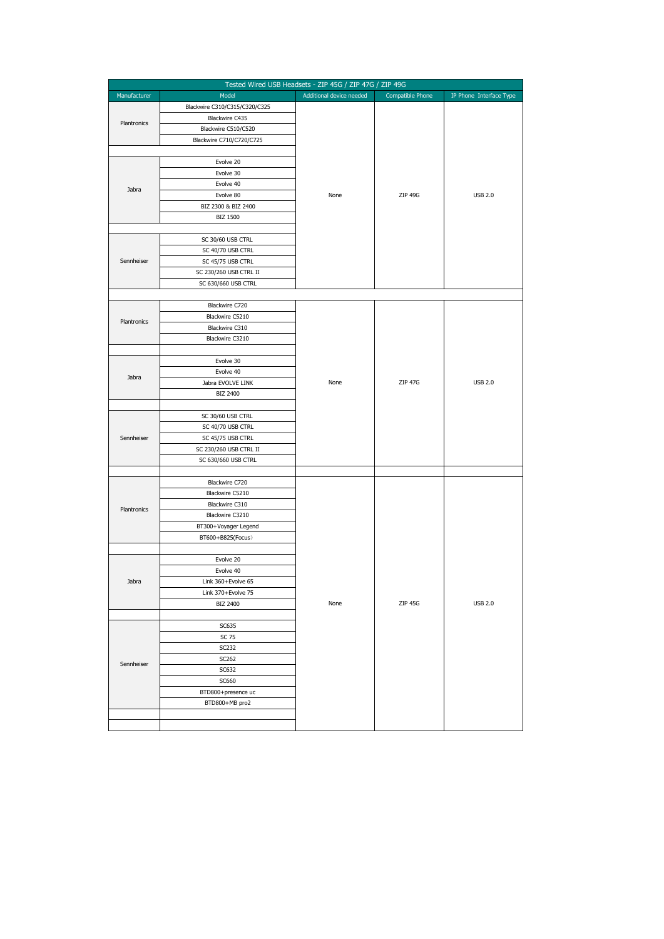| Tested Wired USB Headsets - ZIP 45G / ZIP 47G / ZIP 49G |                               |                          |                  |                         |
|---------------------------------------------------------|-------------------------------|--------------------------|------------------|-------------------------|
| Manufacturer                                            | Model                         | Additional device needed | Compatible Phone | IP Phone Interface Type |
| Plantronics                                             | Blackwire C310/C315/C320/C325 |                          |                  |                         |
|                                                         | Blackwire C435                |                          |                  |                         |
|                                                         | Blackwire C510/C520           |                          |                  |                         |
|                                                         | Blackwire C710/C720/C725      |                          |                  |                         |
|                                                         |                               |                          |                  |                         |
|                                                         | Evolve 20                     |                          |                  |                         |
|                                                         | Evolve 30                     |                          |                  |                         |
|                                                         | Evolve 40                     |                          |                  |                         |
| Jabra                                                   | Evolve 80                     | None                     | ZIP 49G          | <b>USB 2.0</b>          |
|                                                         | BIZ 2300 & BIZ 2400           |                          |                  |                         |
|                                                         | BIZ 1500                      |                          |                  |                         |
|                                                         |                               |                          |                  |                         |
|                                                         | SC 30/60 USB CTRL             |                          |                  |                         |
|                                                         | SC 40/70 USB CTRL             |                          |                  |                         |
| Sennheiser                                              | SC 45/75 USB CTRL             |                          |                  |                         |
|                                                         | SC 230/260 USB CTRL II        |                          |                  |                         |
|                                                         | SC 630/660 USB CTRL           |                          |                  |                         |
|                                                         |                               |                          |                  |                         |
|                                                         | Blackwire C720                |                          |                  |                         |
| Plantronics                                             | Blackwire C5210               |                          |                  |                         |
|                                                         | Blackwire C310                |                          |                  |                         |
|                                                         | Blackwire C3210               |                          |                  |                         |
|                                                         |                               |                          |                  |                         |
|                                                         | Evolve 30                     |                          |                  |                         |
| Jabra                                                   | Evolve 40                     |                          |                  |                         |
|                                                         | Jabra EVOLVE LINK             | None                     | <b>ZIP 47G</b>   | <b>USB 2.0</b>          |
|                                                         | BIZ 2400                      |                          |                  |                         |
|                                                         |                               |                          |                  |                         |
|                                                         | SC 30/60 USB CTRL             |                          |                  |                         |
|                                                         | SC 40/70 USB CTRL             |                          |                  |                         |
| Sennheiser                                              | SC 45/75 USB CTRL             |                          |                  |                         |
|                                                         | SC 230/260 USB CTRL II        |                          |                  |                         |
|                                                         | SC 630/660 USB CTRL           |                          |                  |                         |
|                                                         |                               |                          |                  |                         |
|                                                         | Blackwire C720                |                          |                  |                         |
|                                                         | Blackwire C5210               |                          |                  |                         |
| Plantronics                                             | Blackwire C310                |                          |                  |                         |
|                                                         | Blackwire C3210               |                          |                  |                         |
|                                                         | BT300+Voyager Legend          |                          |                  |                         |
|                                                         | BT600+B825(Focus)             |                          |                  |                         |
|                                                         |                               |                          |                  |                         |
|                                                         | Evolve 20<br>Evolve 40        |                          |                  |                         |
|                                                         | Link 360+Evolve 65            |                          |                  |                         |
| Jabra                                                   | Link 370+Evolve 75            |                          |                  |                         |
|                                                         | BIZ 2400                      | None                     | ZIP 45G          | <b>USB 2.0</b>          |
|                                                         |                               |                          |                  |                         |
|                                                         | SC635                         |                          |                  |                         |
|                                                         | SC 75                         |                          |                  |                         |
|                                                         | SC232                         |                          |                  |                         |
|                                                         | SC262                         |                          |                  |                         |
| Sennheiser                                              | SC632                         |                          |                  |                         |
|                                                         | SC660                         |                          |                  |                         |
|                                                         | BTD800+presence uc            |                          |                  |                         |
|                                                         | BTD800+MB pro2                |                          |                  |                         |
|                                                         |                               |                          |                  |                         |
|                                                         |                               |                          |                  |                         |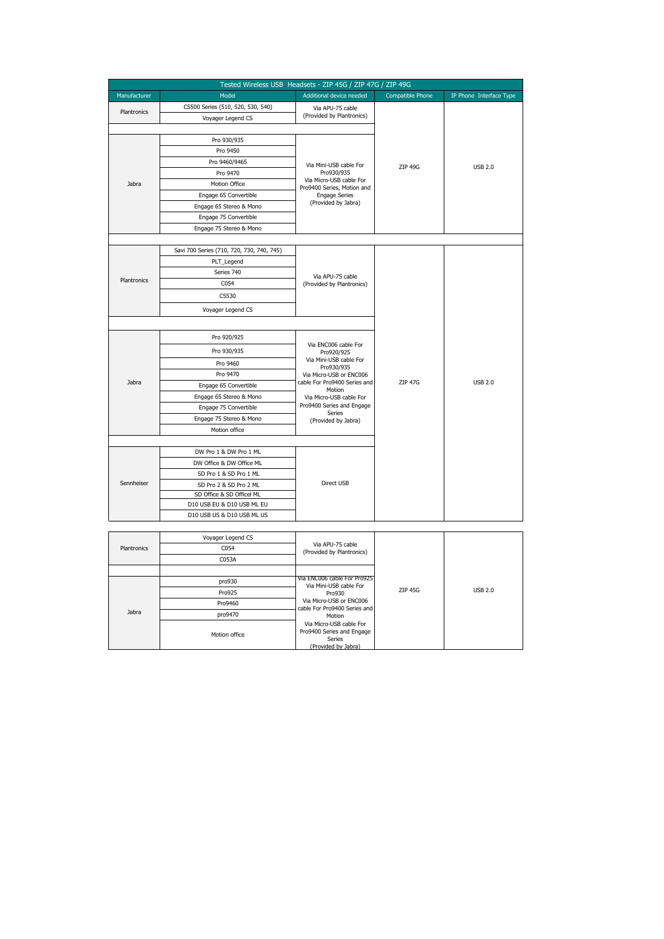|                    | Tested Wireless USB Headsets - ZIP 45G / ZIP 47G / ZIP 49G |                                                                                                                           |                         |                         |
|--------------------|------------------------------------------------------------|---------------------------------------------------------------------------------------------------------------------------|-------------------------|-------------------------|
| Manufacturer       | Model                                                      | Additional device needed                                                                                                  | <b>Compatible Phone</b> | IP Phone Interface Type |
| Plantronics        | CS500 Series (510, 520, 530, 540)                          | Via APU-75 cable                                                                                                          |                         |                         |
|                    | Voyager Legend CS                                          | (Provided by Plantronics)                                                                                                 |                         |                         |
|                    |                                                            |                                                                                                                           |                         |                         |
|                    | Pro 930/935                                                |                                                                                                                           |                         | <b>USB 2.0</b>          |
|                    | Pro 9450                                                   | Via Mini-USB cable For<br>Pro930/935                                                                                      | ZIP 49G                 |                         |
|                    | Pro 9460/9465                                              |                                                                                                                           |                         |                         |
|                    | Pro 9470                                                   |                                                                                                                           |                         |                         |
| Jabra              | Motion Office                                              | Via Micro-USB cable For<br>Pro9400 Series, Motion and                                                                     |                         |                         |
|                    | Engage 65 Convertible                                      | <b>Engage Series</b>                                                                                                      |                         |                         |
|                    | Engage 65 Stereo & Mono                                    | (Provided by Jabra)                                                                                                       |                         |                         |
|                    | Engage 75 Convertible                                      |                                                                                                                           |                         |                         |
|                    | Engage 75 Stereo & Mono                                    |                                                                                                                           |                         |                         |
|                    |                                                            |                                                                                                                           |                         |                         |
|                    | Savi 700 Series (710, 720, 730, 740, 745)                  |                                                                                                                           |                         |                         |
|                    | PLT_Legend                                                 |                                                                                                                           |                         |                         |
|                    | Series 740                                                 | Via APU-75 cable<br>(Provided by Plantronics)                                                                             |                         |                         |
| Plantronics        | C054                                                       |                                                                                                                           |                         |                         |
|                    | CS530                                                      |                                                                                                                           |                         |                         |
|                    | Voyager Legend CS                                          |                                                                                                                           |                         |                         |
|                    |                                                            |                                                                                                                           |                         |                         |
|                    | Pro 920/925                                                |                                                                                                                           | <b>ZIP 47G</b>          | <b>USB 2.0</b>          |
|                    | Pro 930/935                                                | Via ENC006 cable For                                                                                                      |                         |                         |
|                    |                                                            | Pro920/925<br>Via Mini-USB cable For                                                                                      |                         |                         |
|                    | Pro 9460<br>Pro 9470                                       | Pro930/935                                                                                                                |                         |                         |
| Jabra              |                                                            | Via Micro-USB or ENC006<br>cable For Pro9400 Series and<br>Motion<br>Via Micro-USB cable For<br>Pro9400 Series and Engage |                         |                         |
|                    | Engage 65 Convertible<br>Engage 65 Stereo & Mono           |                                                                                                                           |                         |                         |
|                    |                                                            |                                                                                                                           |                         |                         |
|                    | Engage 75 Convertible<br>Engage 75 Stereo & Mono           | Series                                                                                                                    |                         |                         |
|                    | Motion office                                              | (Provided by Jabra)                                                                                                       |                         |                         |
|                    |                                                            |                                                                                                                           |                         |                         |
|                    | DW Pro 1 & DW Pro 1 ML                                     |                                                                                                                           |                         |                         |
|                    | DW Office & DW Office ML                                   |                                                                                                                           |                         |                         |
|                    | SD Pro 1 & SD Pro 1 ML                                     | Direct USB                                                                                                                |                         |                         |
| Sennheiser         | SD Pro 2 & SD Pro 2 ML                                     |                                                                                                                           |                         |                         |
|                    | SD Office & SD Officel ML                                  |                                                                                                                           |                         |                         |
|                    | D10 USB EU & D10 USB ML EU                                 |                                                                                                                           |                         |                         |
|                    | D10 USB US & D10 USB ML US                                 |                                                                                                                           |                         |                         |
|                    |                                                            |                                                                                                                           |                         |                         |
|                    | Voyager Legend CS                                          |                                                                                                                           |                         |                         |
| <b>Plantronics</b> | C054                                                       | Via APU-75 cable                                                                                                          |                         |                         |

|             | voyager Legeng CS |                                                                                                                                                                                                |                |                |
|-------------|-------------------|------------------------------------------------------------------------------------------------------------------------------------------------------------------------------------------------|----------------|----------------|
| Plantronics | C054              | Via APU-75 cable<br>(Provided by Plantronics)                                                                                                                                                  |                |                |
|             | C053A             |                                                                                                                                                                                                |                |                |
|             |                   | Via ENC006 cable For Pro925                                                                                                                                                                    |                |                |
|             | pro930            | Via Mini-USB cable For<br>Pro930<br>Via Micro-USB or ENC006<br>cable For Pro9400 Series and<br>Motion<br>Via Micro-USB cable For<br>Pro9400 Series and Engage<br>Series<br>(Provided by Jabra) |                | <b>USB 2.0</b> |
|             | Pro925            |                                                                                                                                                                                                | <b>ZIP 45G</b> |                |
|             | Pro9460           |                                                                                                                                                                                                |                |                |
| Jabra       | pro9470           |                                                                                                                                                                                                |                |                |
|             | Motion office     |                                                                                                                                                                                                |                |                |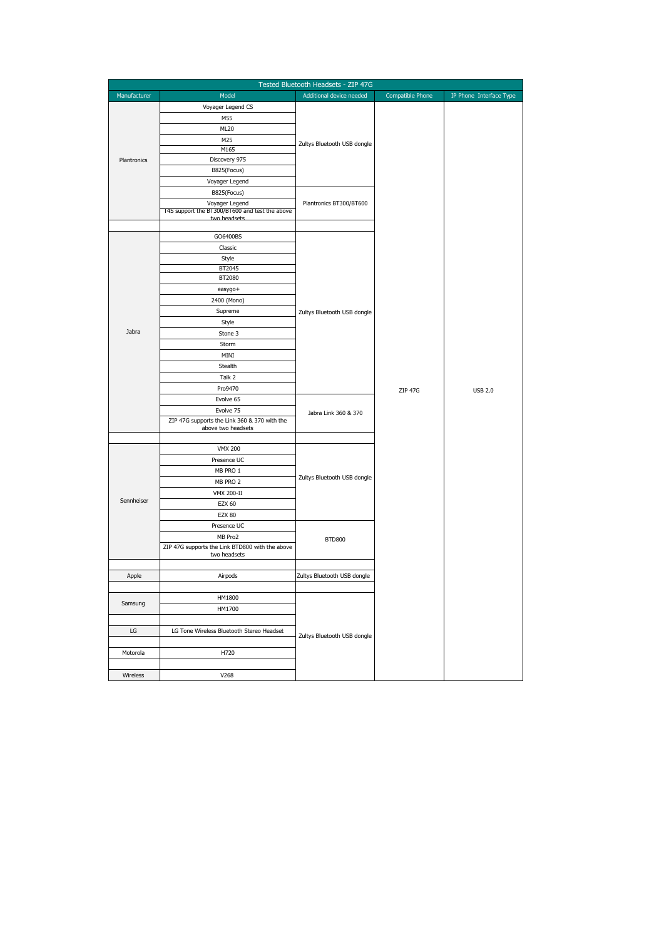| Tested Bluetooth Headsets - ZIP 47G |                                                                |                             |                  |                         |  |
|-------------------------------------|----------------------------------------------------------------|-----------------------------|------------------|-------------------------|--|
| Manufacturer                        | Model                                                          | Additional device needed    | Compatible Phone | IP Phone Interface Type |  |
|                                     | Voyager Legend CS                                              |                             |                  |                         |  |
|                                     | M55                                                            |                             |                  |                         |  |
|                                     | ML20                                                           |                             |                  |                         |  |
|                                     | M25                                                            | Zultys Bluetooth USB dongle |                  |                         |  |
|                                     | M165                                                           |                             |                  |                         |  |
| Plantronics                         | Discovery 975                                                  |                             |                  |                         |  |
|                                     | B825(Focus)                                                    |                             |                  |                         |  |
|                                     | Voyager Legend                                                 |                             |                  |                         |  |
|                                     | B825(Focus)                                                    | Plantronics BT300/BT600     |                  |                         |  |
|                                     | Voyager Legend                                                 |                             |                  |                         |  |
|                                     | 14S support the B1300/B1600 and test the above<br>two headcets |                             |                  |                         |  |
|                                     |                                                                |                             |                  |                         |  |
|                                     | GO6400BS                                                       |                             |                  |                         |  |
|                                     | Classic                                                        |                             |                  |                         |  |
|                                     | Style                                                          |                             |                  |                         |  |
|                                     | BT2045                                                         |                             |                  |                         |  |
|                                     | BT2080                                                         |                             |                  |                         |  |
|                                     | easygo+                                                        |                             |                  |                         |  |
|                                     | 2400 (Mono)                                                    |                             |                  |                         |  |
|                                     | Supreme                                                        | Zultys Bluetooth USB dongle |                  |                         |  |
|                                     | Style                                                          |                             |                  |                         |  |
| Jabra                               | Stone 3                                                        |                             |                  |                         |  |
|                                     | Storm                                                          |                             |                  |                         |  |
|                                     | MINI                                                           |                             |                  |                         |  |
|                                     | Stealth                                                        |                             |                  |                         |  |
|                                     | Talk 2                                                         |                             |                  |                         |  |
|                                     | Pro9470                                                        |                             | ZIP 47G          | <b>USB 2.0</b>          |  |
|                                     | Evolve 65                                                      |                             |                  |                         |  |
|                                     | Evolve 75                                                      | Jabra Link 360 & 370        |                  |                         |  |
|                                     | ZIP 47G supports the Link 360 & 370 with the                   |                             |                  |                         |  |
|                                     | above two headsets                                             |                             |                  |                         |  |
|                                     | <b>VMX 200</b>                                                 |                             |                  |                         |  |
|                                     | Presence UC                                                    |                             |                  |                         |  |
|                                     | MB PRO 1                                                       |                             |                  |                         |  |
|                                     | MB PRO 2                                                       | Zultys Bluetooth USB dongle |                  |                         |  |
|                                     |                                                                |                             |                  |                         |  |
| Sennheiser                          | VMX 200-II<br><b>EZX 60</b>                                    |                             |                  |                         |  |
|                                     | <b>EZX 80</b>                                                  |                             |                  |                         |  |
|                                     | Presence UC                                                    |                             |                  |                         |  |
|                                     | MB Pro2                                                        |                             |                  |                         |  |
|                                     | ZIP 47G supports the Link BTD800 with the above                | <b>BTD800</b>               |                  |                         |  |
|                                     | two headsets                                                   |                             |                  |                         |  |
|                                     |                                                                |                             |                  |                         |  |
| Apple                               | Airpods                                                        | Zultys Bluetooth USB dongle |                  |                         |  |
|                                     |                                                                |                             |                  |                         |  |
|                                     | HM1800                                                         |                             |                  |                         |  |
| Samsung                             | HM1700                                                         |                             |                  |                         |  |
|                                     |                                                                |                             |                  |                         |  |
| LG                                  | LG Tone Wireless Bluetooth Stereo Headset                      |                             |                  |                         |  |
|                                     |                                                                | Zultys Bluetooth USB dongle |                  |                         |  |
| Motorola                            | H720                                                           |                             |                  |                         |  |
|                                     |                                                                |                             |                  |                         |  |
| Wireless                            | V268                                                           |                             |                  |                         |  |